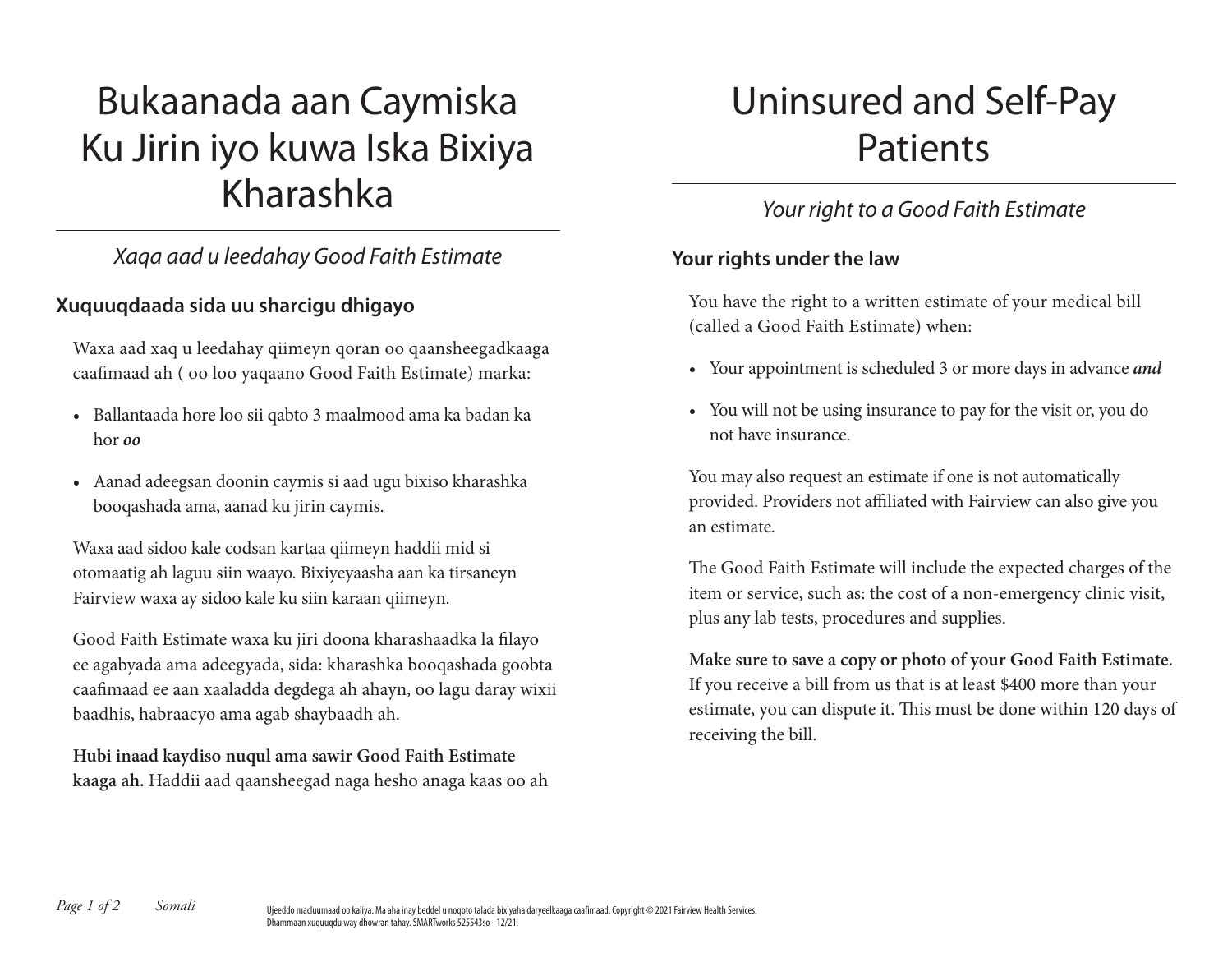# Bukaanada aan Caymiska Ku Jirin iyo kuwa Iska Bixiya Kharashka

## *Xaqa aad u leedahay Good Faith Estimate*

### **Xuquuqdaada sida uu sharcigu dhigayo**

Waxa aad xaq u leedahay qiimeyn qoran oo qaansheegadkaaga caafimaad ah ( oo loo yaqaano Good Faith Estimate) marka:

- Ballantaada hore loo sii qabto 3 maalmood ama ka badan ka hor *oo*
- Aanad adeegsan doonin caymis si aad ugu bixiso kharashka booqashada ama, aanad ku jirin caymis.

Waxa aad sidoo kale codsan kartaa qiimeyn haddii mid si otomaatig ah laguu siin waayo. Bixiyeyaasha aan ka tirsaneyn Fairview waxa ay sidoo kale ku siin karaan qiimeyn.

Good Faith Estimate waxa ku jiri doona kharashaadka la filayo ee agabyada ama adeegyada, sida: kharashka booqashada goobta caafimaad ee aan xaaladda degdega ah ahayn, oo lagu daray wixii baadhis, habraacyo ama agab shaybaadh ah.

**Hubi inaad kaydiso nuqul ama sawir Good Faith Estimate kaaga ah.** Haddii aad qaansheegad naga hesho anaga kaas oo ah

# Uninsured and Self-Pay Patients

# *Your right to a Good Faith Estimate*

### **Your rights under the law**

You have the right to a written estimate of your medical bill (called a Good Faith Estimate) when:

- Your appointment is scheduled 3 or more days in advance *and*
- You will not be using insurance to pay for the visit or, you do not have insurance.

You may also request an estimate if one is not automatically provided. Providers not affiliated with Fairview can also give you an estimate.

The Good Faith Estimate will include the expected charges of the item or service, such as: the cost of a non-emergency clinic visit, plus any lab tests, procedures and supplies.

**Make sure to save a copy or photo of your Good Faith Estimate.** If you receive a bill from us that is at least \$400 more than your estimate, you can dispute it. This must be done within 120 days of receiving the bill.